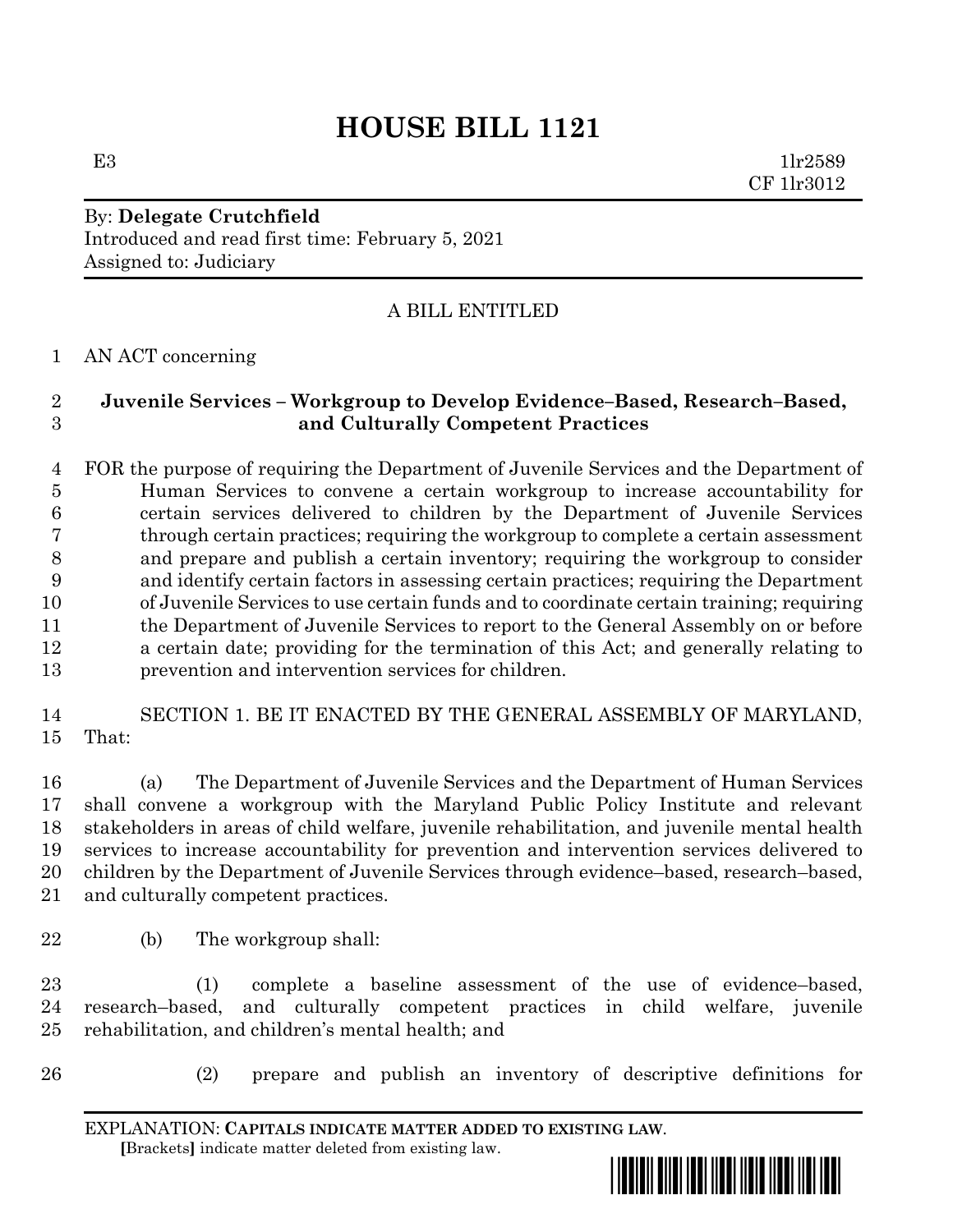## **HOUSE BILL 1121**

E3  $1\text{lr}2589$ CF 1lr3012

By: **Delegate Crutchfield** Introduced and read first time: February 5, 2021 Assigned to: Judiciary

## A BILL ENTITLED

AN ACT concerning

## **Juvenile Services – Workgroup to Develop Evidence–Based, Research–Based, and Culturally Competent Practices**

 FOR the purpose of requiring the Department of Juvenile Services and the Department of Human Services to convene a certain workgroup to increase accountability for certain services delivered to children by the Department of Juvenile Services through certain practices; requiring the workgroup to complete a certain assessment and prepare and publish a certain inventory; requiring the workgroup to consider and identify certain factors in assessing certain practices; requiring the Department of Juvenile Services to use certain funds and to coordinate certain training; requiring the Department of Juvenile Services to report to the General Assembly on or before a certain date; providing for the termination of this Act; and generally relating to prevention and intervention services for children.

 SECTION 1. BE IT ENACTED BY THE GENERAL ASSEMBLY OF MARYLAND, That:

 (a) The Department of Juvenile Services and the Department of Human Services shall convene a workgroup with the Maryland Public Policy Institute and relevant stakeholders in areas of child welfare, juvenile rehabilitation, and juvenile mental health services to increase accountability for prevention and intervention services delivered to children by the Department of Juvenile Services through evidence–based, research–based, and culturally competent practices.

(b) The workgroup shall:

 (1) complete a baseline assessment of the use of evidence–based, research–based, and culturally competent practices in child welfare, juvenile rehabilitation, and children's mental health; and

- 
- (2) prepare and publish an inventory of descriptive definitions for